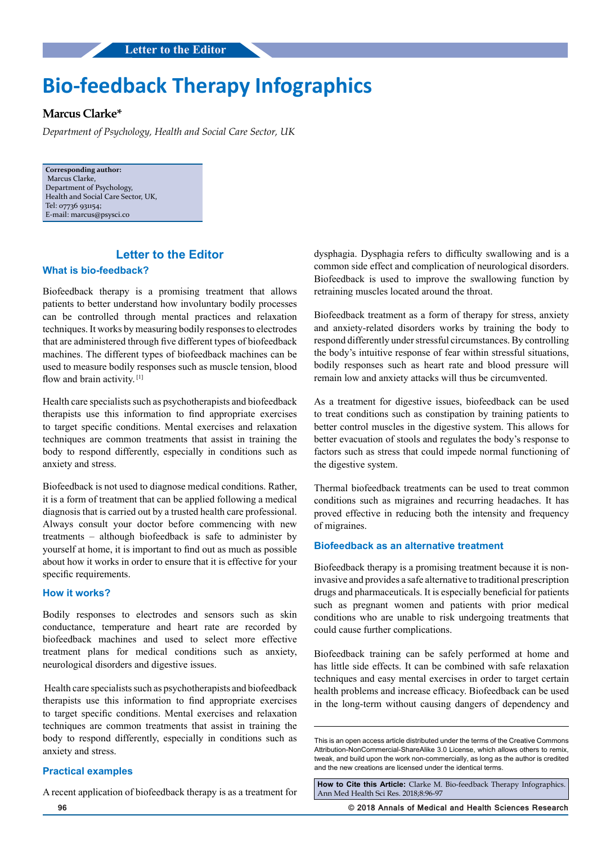# **Bio-feedback Therapy Infographics**

# **Marcus Clarke\***

*Department of Psychology, Health and Social Care Sector, UK*

**Corresponding author:** Marcus Clarke, Department of Psychology, Health and Social Care Sector, UK, Tel: 07736 931154; E-mail: marcus@psysci.co

# **Letter to the Editor**

## **What is bio-feedback?**

Biofeedback therapy is a promising treatment that allows patients to better understand how involuntary bodily processes can be controlled through mental practices and relaxation techniques. It works by measuring bodily responses to electrodes that are administered through five different types of biofeedback machines. The different types of biofeedback machines can be used to measure bodily responses such as muscle tension, blood flow and brain activity.<sup>[1]</sup>

Health care specialists such as psychotherapists and biofeedback therapists use this information to find appropriate exercises to target specific conditions. Mental exercises and relaxation techniques are common treatments that assist in training the body to respond differently, especially in conditions such as anxiety and stress.

Biofeedback is not used to diagnose medical conditions. Rather, it is a form of treatment that can be applied following a medical diagnosis that is carried out by a trusted health care professional. Always consult your doctor before commencing with new treatments – although biofeedback is safe to administer by yourself at home, it is important to find out as much as possible about how it works in order to ensure that it is effective for your specific requirements.

#### **How it works?**

Bodily responses to electrodes and sensors such as skin conductance, temperature and heart rate are recorded by biofeedback machines and used to select more effective treatment plans for medical conditions such as anxiety, neurological disorders and digestive issues.

 Health care specialists such as psychotherapists and biofeedback therapists use this information to find appropriate exercises to target specific conditions. Mental exercises and relaxation techniques are common treatments that assist in training the body to respond differently, especially in conditions such as anxiety and stress.

## **Practical examples**

A recent application of biofeedback therapy is as a treatment for

dysphagia. Dysphagia refers to difficulty swallowing and is a common side effect and complication of neurological disorders. Biofeedback is used to improve the swallowing function by retraining muscles located around the throat.

Biofeedback treatment as a form of therapy for stress, anxiety and anxiety-related disorders works by training the body to respond differently under stressful circumstances. By controlling the body's intuitive response of fear within stressful situations, bodily responses such as heart rate and blood pressure will remain low and anxiety attacks will thus be circumvented.

As a treatment for digestive issues, biofeedback can be used to treat conditions such as constipation by training patients to better control muscles in the digestive system. This allows for better evacuation of stools and regulates the body's response to factors such as stress that could impede normal functioning of the digestive system.

Thermal biofeedback treatments can be used to treat common conditions such as migraines and recurring headaches. It has proved effective in reducing both the intensity and frequency of migraines.

#### **Biofeedback as an alternative treatment**

Biofeedback therapy is a promising treatment because it is noninvasive and provides a safe alternative to traditional prescription drugs and pharmaceuticals. It is especially beneficial for patients such as pregnant women and patients with prior medical conditions who are unable to risk undergoing treatments that could cause further complications.

Biofeedback training can be safely performed at home and has little side effects. It can be combined with safe relaxation techniques and easy mental exercises in order to target certain health problems and increase efficacy. Biofeedback can be used in the long-term without causing dangers of dependency and

How to Cite this Article: Clarke M. Bio-feedback Therapy Infographics. Ann Med Health Sci Res. 2018;8:96-97

**96 © 2018 Annals of Medical and Health Sciences Research** 

This is an open access article distributed under the terms of the Creative Commons Attribution-NonCommercial-ShareAlike 3.0 License, which allows others to remix, tweak, and build upon the work non‑commercially, as long as the author is credited and the new creations are licensed under the identical terms.